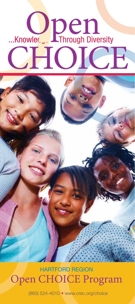# Mowledge Through Diversity Open CHOICE

HARTFORD REGION Open CHOICE Program

(860) 524-4010 · www.crec.org/choice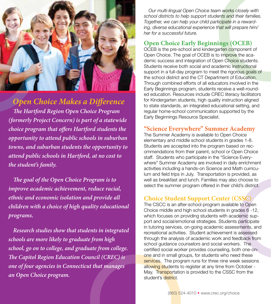

# **Open Choice Makes a Difference**

**The Hartford Region Open Choice Program (formerly Project Concern) is part of a statewide**  choice program that offers Hartford students the **opportunity to attend public schools in suburban towns, and suburban students the opportunity to attend public schools in Hartford, at no cost to the student's family.** 

**The goal of the Open Choice Program is to improve academic achievement, reduce racial, ethnic and economic isolation and provide all children with a choice of high quality educational programs.**

 **Research studies show that students in integrated schools are more likely to graduate from high school, go on to college, and graduate from college. The Capitol Region Education Council (CREC) is one of four agencies in Connecticut that manages an Open Choice program.**

 *Our multi-lingual Open Choice team works closely with school districts to help support students and their families. Together, we can help your child participate in a rewarding, diverse educational experience that will prepare him/ her for a successful future.*

# **Open Choice Early Beginnings (OCEB)**

works closely with<br>dents and their families.<br>exticipate in a reward-<br>that will prepare him/<br>**nings (OCEB)**<br>garten component of<br>to improve the aca-<br>Depen Choice students.<br>cademic instructional<br>set the rigorous goals of<br>artm OCEB is the pre-school and kindergarten component of Open Choice. The goal of OCEB is to improve the academic success and integration of Open Choice students. Students receive both social and academic instructional support in a full-day program to meet the rigorous goals of the school district and the CT Department of Education. Through combined efforts of all educators involved in the Early Beginnings program, students receive a well-rounded education. Resources include CREC literacy facilitators for Kindergarten students, high quality instruction aligned to state standards, an integrated educational setting, and regular home-school communication supported by the Early Beginnings Resource Specialist.

# **"Science Everywhere" Summer Academy**

The Summer Academy is available to Open Choice elementary and middle school students in grades 1-8. Students are accepted into the program based on recommendations from their parent, school or Open Choice staff. Students who participate in the "Science Everywhere" Summer Academy are involved in daily enrichment activities including a hands-on Science and Math curriculum and field trips in July. Transportation is provided, as well as breakfast and lunch. Families may also choose to select the summer program offered in their child's district.

# **Choice Student Support Center (CSSC)**

The CSCC is an after-school program available to Open Choice middle and high school students in grades 6 -12, which focuses on providing students with academic support and social/emotional strategies. Students participate in tutoring services, on-going academic assessments, and recreational activities. Student achievement is assessed through the analysis of academic work and feedback from school guidance counselors and social workers. The certified social worker provides counseling, both one-onone and in small groups, for students who need these services. The program runs for three nine week sessions allowing students to register at any time from October -May. Transportation is provided to the CSSC from the student's district.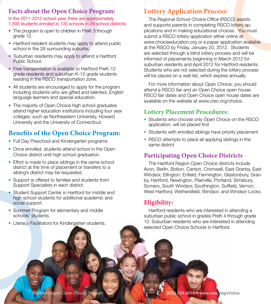# **Facts about the Open Choice Program:**

#### In the 2011-2012 school year, there are approximately 1.500 students enrolled in 135 schools in 29 school districts.

- The program is open to children in PreK 3 through grade 12.
- Hartford resident students may apply to attend public school in the 28 surrounding suburbs.
- Suburban residents may apply to attend a Hartford Public School.
- Free transportation is available to Hartford PreK-12 grade residents and suburban K-12 grade students residing in the RSCO transportation zone.
- All students are encouraged to apply for the program including students who are gifted and talented, English language learners and special education.
- The majority of Open Choice high school graduates attend higher education institutions including four year colleges; such as Northeastern University, Howard University and the University of Connecticut.

# **Benefits of the Open Choice Program:**

- Full Day Preschool and Kindergarten programs
- Once enrolled, students attend school in the Open Choice district until high school graduation.
- Effort is made to place siblings in the same school district at the time of placement or transfers to a sibling's district may be requested.
- Support is offered to families and students from Support Specialists in each district.
- Student Support Center in Hartford for middle and high school students for additional academic and social support.
- Summer Program for elementary and middle schools' students.
- Literacy Facilitators for Kindergarten students.

# **Lottery Application Process:**

The Regional School Choice Office (RSCO) assists and supports parents in completing RSCO lottery applications and in making educational choices. You must submit a RSCO lottery application either online at www.choiceeducation.org or a paper application available at the RSCO by Friday, January 20, 2012. Students are selected through a blind lottery process and will be informed of placements beginning in March 2012 for suburban residents and April 2012 for Hartford residents. Students who are not selected during the lottery process will be placed on a wait list, which expires annually.

 For more information about Open Choice, you should attend a RSCO fair and an Open Choice open house. RSCO fair dates and Open Choice open house dates are available on the website at www.crec.org/choice.

# **Lottery Placement Procedures:**

- Students who choose only Open Choice on the RSCO application, will be placed first
- Students with enrolled siblings have priority placement
- RSCO attempts to place all applying siblings in the same district

# **Participating Open Choice Districts**

 The Hartford Region Open Choice districts include Avon, Berlin, Bolton, Canton, Cromwell, East Granby, East Windsor, Ellington, Enfield, Farmington, Glastonbury, Granby, Hartford, Newington, Plainville, Portland, Simsbury, Somers, South Windsor, Southington, Suffield, Vernon, West Hartford, Wethersfield, Windsor, and Windsor Locks.

# **Eligibility:**

 Hartford residents who are interested in attending a suburban public school in grades PreK 4 through grade 12. Suburban residents who are interested in attending selected Open Choice Schools in Hartford.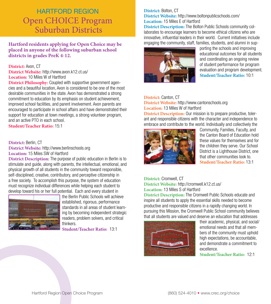# Open CHOICE Program Suburban Districts HARTFORD REGION

**Hartford residents applying for Open Choice may be placed in anyone of the following suburban school districts in grades PreK 4-12.**

#### **District:** Avon, CT

**District Website:** http://www.avon.k12.ct.us/ **Location:** 10 Miles W of Hartford

**District Philosophy:** Coupled with supportive government agencies and a beautiful location, Avon is considered to be one of the most desirable communities in the state. Avon has demonstrated a strong commitment to education by its emphasis on student achievement, improved school facilities, and parent involvement. Avon parents are encouraged to participate in school affairs and have demonstrated their support for education at town meetings, a strong volunteer program, and an active PTO in each school.

**Student/Teacher Ratio:** 15:1

#### **District:** Berlin, CT

**District Website:** http://www.berlinschools.org **Location:** 15 Miles SW of Hartford

**District Description:** The purpose of public education in Berlin is to stimulate and guide, along with parents, the intellectual, emotional, and physical growth of all students in the community toward responsible, self-disciplined, creative, contributory, and perceptive citizenship in a free society. To accomplish this purpose, the system of education must recognize individual differences while helping each student to develop toward his or her full potential. Each and every student in



the Berlin Public Schools will achieve established, rigorous, performance standards in all areas of student learning by becoming independent strategic readers, problem solvers, and critical thinkers.

**Student/Teacher Ratio:** 13:1

#### **District:** Bolton, CT **District Website:** http://www.boltonpublicschools.com/ **Location:** 15 Miles E of Hartford

**District Description:** The Bolton Public Schools community collaborates to encourage learners to become ethical citizens who are innovative, influential leaders in their world. Current initiatives include engaging the community, staff, families, students, and alumni in sup-



porting the schools and improving educational outcomes for all students and coordinating an ongoing review of student performance for program evaluation and program development. **Student/Teacher Ratio:** 10:1

#### **District:** Canton, CT

**District Website:** http://www.cantonschools.org **Location:** 13 Miles W of Hartford

**District Description:** Our mission is to prepare productive, tolerant and responsible citizens with the character and independence to embrace and contribute to the world. Individually and collectively the



Community, Families, Faculty, and the Canton Board of Education hold these values for themselves and for the children they serve. Our School District is a Lighthouse District, one that other communities look to. **Student/Teacher Ratio:** 13:1

**District:** Cromwell, CT **District Website:** http://cromwell.k12.ct.us/ **Location:** 13 Miles S of Hartford

**District Description:** The Cromwell Public Schools educate and inspire all students to apply the essential skills needed to become productive and responsible citizens in a rapidly changing world. In pursuing this Mission, the Cromwell Public School community believes that all students are valued and deserve an education that addresses



their academic, physical, and social/ emotional needs and that all members of the community must uphold high expectations, be accountable, and demonstrate a commitment to excellence.

**Student/Teacher Ratio:** 12:1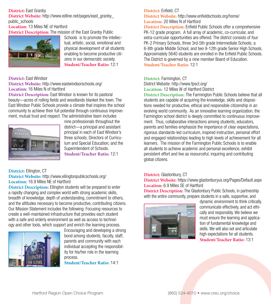## **District:** East Granby

**District Website:** http://www.edline.net/pages/east\_granby public\_schools

## **Location:** 13 Miles NE of Hartford

**District Description:** The mission of the East Granby Public



Schools is to promote the intellectual, artistic, social, emotional and physical development of all students enabling to become productive citizens in our democratic society. **Student/Teacher Ratio:** 12:1

#### **District:** East Windsor

**District Website:** http://www.eastwindsorschools.org/ **Location:** 16 Miles N of Hartford

**District Description:** East Windsor is known for its pastoral beauty—acres of rolling fields and woodlands blanket the town. The East Windsor Public Schools provide a climate that inspires the school community to achieve their full potential through continuous improvement, mutual trust and respect. The administrative team includes



nine professionals throughout the district—a principal and assistant principal in each of East Windsor's three schools; Directors of Curriculum and Special Education; and the Superintendent of Schools. **Student/Teacher Ratio:** 12:1

## **District:** Ellington, CT

**District Website:** http://www.ellingtonpublicschools.org/ **Location:** 18.9 Miles NE of Hartford

**District Description:** Ellington students will be prepared to enter a rapidly changing and complex world with strong academic skills, breadth of knowledge, depth of understanding, commitment to others, and the attitudes necessary to become productive, contributing citizens. Our Mission Statement includes the following: Focusing resources to create a well-maintained infrastructure that provides each student with a safe and orderly environment as well as access to technology and other tools, which support and enrich the learning process.



Encouraging and developing a strong bond among students, faculty, staff, parents and community with each individual accepting the responsibility for his/her role in the learning process. **Student/Teacher Ratio:** 14:1

## **District:** Enfield, CT

**District Website:** http://www.enfieldschools.org/home/ **Location:** 20 Miles N of Hartford

**District Description:** Enfield Public Schools offer a comprehensive PK-12 grade program. A full array of academic, co-curricular, and extra-curricular opportunities are offered. The district consists of four PK-2 Primary Schools, three 3rd-5th grade Intermediate Schools; a 6-8th grade Middle School; and two 9-12th grade Senior High Schools. Approximately 5640 students are enrolled in the Enfield Public Schools. The District is governed by a nine member Board of Education. **Student/Teacher Ratio:** 12:1

## **District:** Farmington, CT

District Website: http://www.fpsct.org/

**Location:** 12 Miles W of Hartford District

**District Description:** The Farmington Public Schools believe that all students are capable of acquiring the knowledge, skills and dispositions needed for productive, ethical and responsible citizenship in an evolving world community. As an innovative learning organization, the Farmington school district is deeply committed to continuous improvement. Thus, collaborative interactions among students, educators, parents and families emphasize the importance of clear expectations, rigorous standards-led curriculum, inspired instruction, personal effort and engaged relationships leading to high levels of achievement for all learners. The mission of the Farmington Public Schools is to enable all students to achieve academic and personal excellence, exhibit persistent effort and live as resourceful, inquiring and contributing global citizens.

## **District:** Glastonbury, CT

**District Website:** https://www.glastonburyus.org/Pages/Default.aspx **Location:** 6.9 Miles SE of Hartford

**District Description:** The Glastonbury Public Schools, in partnership with the entire community, prepare students in a safe, supportive, and



dynamic environment to think critically, communicate effectively, and act ethically and responsibly. We believe we must ensure the learning and application of fundamental knowledge and skills. We will also set and articulate high expectations for all students. **Student/Teacher Ratio:** 13:1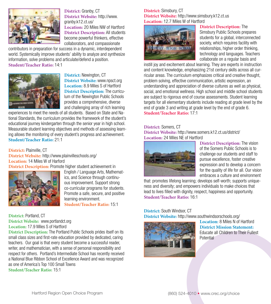

**District:** Granby, CT **District Website:** http://www. granby.k12.ct.us/ **Location:** 20 Miles NW of Hartford **District Description:** All students become powerful thinkers, effective collaborators, and compassionate

contributors in preparation for success in a dynamic, interdependent world. Systemically improve students' ability to analyze and synthesize information, solve problems and articulate/defend a position. **Student/Teacher Ratio:** 14:1



**District:** Newington, CT **District Website:** www.npsct.org **Location:** 8.9 Miles S of Hartford **District Description:** The curriculum of the Newington Public Schools provides a comprehensive, diverse and challenging array of rich learning

experiences to meet the needs of all students. Based on State and National Standards, the curriculum provides the framework of the student's educational journey kindergarten through the senior year in high school. Measurable student learning objectives and methods of assessing learning allows the monitoring of every student's progress and achievement. **Student/Teacher Ratio:** 21:1

#### **District:** Plainville, CT

**District Website:** http://www.plainvilleschools.org/ **Location:** 14 Miles W of Harford **District Description:** Promote higher student achievement in



English / Language Arts, Mathematics, and Science through continuous improvement. Support strong co-curricular programs for students. Promote a safe, secure, and positive learning environment. **Student/Teacher Ratio:** 15:1

#### **District:** Portland, CT **District Website:** www.portlandct.org **Location:** 17.9 Miles S of Hartford

**District Description:** The Portland Public Schools prides itself on its small class sizes and first-rate education provided by dedicated, caring teachers. Our goal is that every student become a successful reader, writer, and mathematician, with a sense of personal responsibility and respect for others. Portland's Intermediate School has recently received a National Blue Ribbon School of Excellence Award and was recognized as one of America's Top 100 Small Towns **Student/Teacher Ratio:** 15:1

**District:** Simsbury, CT **District Website:** http://www.simsbury.k12.ct.us **Location:** 12.7 Miles W of Hartford



**District Description:** The Simsbury Public Schools prepares students for a global, interconnected society, which requires facility with relationships, higher order thinking, technology and languages. Teachers collaborate on a regular basis and

instill joy and excitement about learning. They are experts in instruction and content knowledge, emphasizing 21st century skills across all curricular areas. The curriculum emphasizes critical and creative thought, problem solving, effective communication, artistic expression, an understanding and appreciation of diverse cultures as well as physical, social, and emotional wellness. High school and middle school students are subject to rigorous end of course assessments. Student learning targets for all elementary students include reading at grade level by the end of grade 3 and writing at grade level by the end of grade 6. **Student/Teacher Ratio:** 17:1

## **District:** Somers, CT

**District Website:** http://www.somers.k12.ct.us/district/ **Location:** 24 Miles NE of Hartford



**District Description:** The vision of the Somers Public Schools is to challenge our students and staff to pursue excellence, foster creative expression and to develop a concern for the quality of life for all. Our vision embraces a culture and environment

that: promotes lifelong learning; develops self-worth; supports uniqueness and diversity; and empowers individuals to make choices that lead to lives filled with dignity, respect, happiness and opportunity. **Student/Teacher Ratio:** 16:1

#### **District:** South Windsor, CT **District Website:** http://www.southwindsorschools.org/



**Location:** 8 Miles N of Hartford **District Mission Statement:**  Educate all Children to Their Fullest **Potential**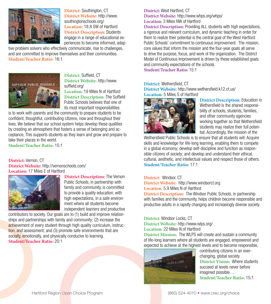

**District:** Southington, CT **District Website:** http://www. southingtonschools.org/ **Location:** 18.8 SW of Hartford **District Description:** Students engage in a range of educational experiences to become informed, adap-

tive problem solvers who effectively communicate, rise to challenges, and are committed to improve themselves and their communities. **Student/Teacher Ratio:** 16:1



**District:** Suffield, CT **District Website:** http://www. suffield.org/

**Location:** 19 Miles N of Hartford **District Description: The Suffield** Public Schools believes that one of its most important responsibilities

is to work with parents and the community to prepare students to be confident, thoughtful, contributing citizens, now and throughout their lives. We believe that our school system helps develop these qualities by creating an atmosphere that fosters a sense of belonging and acceptance. This supports students as they learn and grow and prepare to take their places in the world.

**Student/Teacher Ratio:** 15:1

**District:** Vernon, CT **District Website:** http://vernonschools.com/ **Location:** 17 Miles E of Hartford



**District Description:** The Vernon Public Schools, in partnership with family and community, is committed to provide a quality education, with high expectations, in a safe environment where all students become independent learners and productive

contributors to society. Our goals are to (1) build and improve relationships and partnerships with family and community; (2) increase the achievement of every student through high quality curriculum, instruction, and assessment; and (3) promote safe environments that are socially, emotionally, and physically conducive to learning. **Student/Teacher Ratio:** 20:1

**District:** West Hartford, CT **District Website:** http://www.whps.org/whps/ **Location:** 3 Miles NW of Hartford

**District Description:** Providing ALL students with high expectations, a rigorous and relevant curriculum, and dynamic teaching in order for them to realize their potential is the central goal of the West Hartford Public Schools' commitment to continuous improvement. The mission, core values that inform the mission and the four-year goals all serve to drive the purpose, focus, and work of the organization. The District Model of Continuous Improvement is driven by these established goals and community expectations of the schools.

**Student/Teacher Ratio:** 15:1

**District: Wethersfield, CT District Website: http://www.wethersfield.k12.ct.us/ Location:** 5 Miles S of Hartford



**District Description:** Education in Wethersfield is the shared responsibility of schools, students, families, and other community agencies working together so that Wethersfield students may realize their full potential. Accordingly, the mission of the

Wethersfield Public Schools is to ensure that all students will: Acquire skills and knowledge for life-long learning, enabling them to compete in a global economy; develop self-discipline and function as responsible citizens of society; and develop and understand their ethical, cultural, aesthetic, and intellectual values and respect those of others. **Student/Teacher Ratio:** 17:1

#### **District:** Windsor, CT

**District Website:** http://www.windsorct.org **Location:** 5.9 Miles N of Hartford

**District Description:** The Windsor Public Schools, in partnership with families and the community, helps children become responsible and productive adults in a rapidly changing and increasingly diverse society.

#### **District:** Windsor Locks, CT

**District Website:** http://www.wlps.org/ **Location:** 22 Miles N of Hartford

**District Mission:** The WLPS will create and sustain a community of life-long learners where all students are engaged, empowered and expected to achieve at the highest levels and to become responsible,



contributing citizens in an everchanging, global society. **District Vision:** Where students succeed at levels never before imagined possible… **Student/Teacher Ratio:** 15:1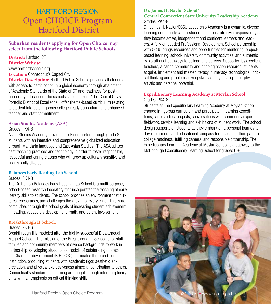# Open CHOICE Program Hartford District HARTFORD REGION

**Suburban residents applying for Open Choice may select from the following Hartford Public Schools.**

**District:** Hartford, CT **District Website:** www.hartfordschools.org **Location:** Connecticut's Capitol City

**District Description:** Hartford Public Schools provides all students with access to participation in a global economy through attainment of Academic Standards of the State of CT and readiness for postsecondary education. The schools selected from "The Capitol City's Portfolio District of Excellence", offer theme-based curriculum relating to student interests, rigorous college-ready curriculum, and enhanced teacher and staff commitment.

#### **Asian Studies Academy (ASA):**

#### Grades: PK4-8

Asian Studies Academy provides pre-kindergarten through grade 8 students with an intensive and comprehensive globalized education through Mandarin language and East Asian Studies. The ASA utilizes best teaching practices and technology in order to foster responsible, respectful and caring citizens who will grow up culturally sensitive and linguistically diverse.

#### **Betances Early Reading Lab School**

#### Grades: PK4-3

The Dr. Ramon Betances Early Reading Lab School is a multi-purpose, school-based research laboratory that incorporates the teaching of early literacy skills to students. The school provides an environment that nurtures, encourages, and challenges the growth of every child. This is accomplished through the school goals of increasing student achievement in reading, vocabulary development, math, and parent involvement.

#### **Breakthrough II School:**

#### Grades: PK3-6

Breakthrough II is modeled after the highly-successful Breakthrough Magnet School. The mission of the Breakthrough II School is for staff, families and community members of diverse backgrounds to work in partnership, developing students as models of outstanding character. Character development (B.R.I.C.K.) permeates the broad-based instruction, producing students with academic rigor, aesthetic appreciation, and physical expressiveness aimed at contributing to others. Connecticut's standards of learning are taught through interdisciplinary units with an emphasis on critical thinking skills.

#### **Dr. James H. Naylor School/ Central Connecticut State University Leadership Academy:** Grades: PK4-8

Dr. James H. Naylor/CCSU Leadership Academy is a dynamic, diverse learning community where students demonstrate civic responsibility as they become active, independent and confident learners and leaders. A fully embedded Professional Development School partnership with CCSU brings resources and opportunities for mentoring, projectbased learning, school-university community activities, and authentic exploration of pathways to college and careers. Supported by excellent teachers, a caring community and ongoing action research, students acquire, implement and master literacy, numeracy, technological, critical thinking and problem-solving skills as they develop their physical, artistic and personal potential.

#### **Expeditionary Learning Academy at Moylan School** Grades: PK4-8

Students at The Expeditionary Learning Academy at Moylan School engage in rigorous curriculum and participate in learning expeditions, case studies, projects, conversations with community experts, fieldwork, service learning and exhibitions of student work. The school design supports all students as they embark on a personal journey to develop a moral and educational compass for navigating their path to college readiness, fulfilling careers, and responsible citizenship. The Expeditionary Learning Academy at Moylan School is a pathway to the McDonough Expeditionary Learning School for grades 6-8.

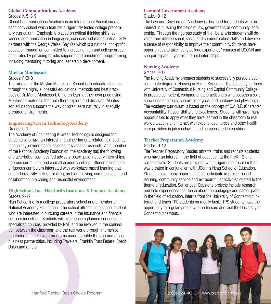## **Global Communications Academy**

Grades: K-5, 8-9

Global Communications Academy is an International Baccalaureate candidacy school which features a rigorously tested college preparatory curriculum. Emphasis is placed on critical thinking skills, advanced communication in languages, sciences and mathematics. GCA partners with the George Weiss' Say Yes which is a national non-profit education foundation committed to increasing high and college graduation rates by providing holistic supports and enrichment programming, including mentoring, tutoring and leadership development.

## **Moylan Montessori**

#### Grades: PK3-8

The mission of the Moylan Montessori School is to educate students through the highly successful educational methods and best practices of Dr. Maria Montessori. Children learn at their own pace using Montessori materials that help them explore and discover. Montessori education supports the way children learn naturally in specially prepared environments.

## **Engineering/Green TechnologyAcademy**

#### Grades: 9-12

The Academy of Engineering & Green Technology is designed for students who have an interest in Engineering or a related field such as technology, environmental science or scientific research. As a member of the National Academy Foundation, the academy has the following characteristics: business-led advisory board, paid industry internships, rigorous curriculum, and a small academy setting. Students complete a rigorous curriculum integrated with workplace based learning that support creativity, critical thinking, problem solving, communication and collaboration in a caring and respectful environment.

#### **High School, Inc.: Hartford's Insurance & Finance Academy** Grades: 9-12

High School Inc. is a college preparatory school and a member of National Academy Foundation. The school attracts high school student who are interested in pursuing careers in the insurance and financial services industries. Students will experience a planned sequence of specialized courses, provided by NAF, and be involved in the connection between the classroom and the real world through internships, mentoring and field work programs made possible through numerous business partnerships, including Travelers, Franklin Trust Federal Credit Union and others.

#### **Law and Government Academy** Grades: 9-12

The Law and Government Academy is designed for students with an interest in pursuing the fields of law, government, or community leadership. Through the rigorous study of the liberal arts students will develop their interpersonal, social and communication skills and develop a sense of responsibility to improve their community. Students have opportunities to take "early college experience" courses at UCONN and can participate in year-round paid internships.

## **Nursing Academy**

## Grades: 9-12

The Nursing Academy prepares students to successfully pursue a baccalaureate degree in Nursing or Health Sciences. The Academy partners with University of Connecticut Nursing and Capital Community College to prepare competent, compassionate practitioners who possess a solid knowledge of biology, chemistry, physics, and anatomy and physiology. The Academy curriculum is based on the concept of C.A.R.E. (Character, Accountability, Responsibility and Excellence). Students will have many opportunities to apply what they have learned in the classroom to real work situations and interact with experienced nurses and other health care providers in job shadowing and compensated internships.

## **Teacher Preparation Academy**

#### Grades: 9-12

The Teacher Preparatory Studies attracts, trains and recruits students who have an interest in the field of education at the PreK-12 and college levels. Students are provided with a rigorous curriculum that was created in conjunction with UConn's Neag School of Education. Students have many opportunities to participate in project based learning, community service and extracurricular activities related to the theme of education. Senior year Capstone projects include research, and field experiences that teach about the pedagogy and career paths in the field of education. Interns from the University of Connecticut interact and teach TPS students on a daily basis. TPS students have the opportunity to regularly meet with professors and visit the University of Connecticut campus.

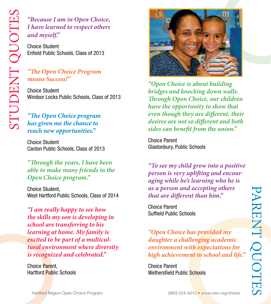# **"Because I am in Open Choice, I have learned to respect others**  and myself."

Choice Student Enfield Public Schools, Class of 2013

# **"The Open Choice Program means Success!"**

Choice Student Windsor Locks Public Schools, Class of 2013

# *"The Open Choice program* **has given me the chance to reach new opportunities."**

Choice Student Canton Public Schools, Class of 2013

**"" rough the years, I have been able to make many friends in the Open Choice program."**

Choice Student, West Hartford Public Schools, Class of 2014

**"I am really happy to see how the skills my son is developing in school are transferring to his learning at home. My family is excited to be part of a multicultural environment where diversity is recognized and celebrated."**

Choice Parent, Hartford Public Schools



**"Open Choice is about building bridges and knocking down walls. Through Open Choice, our children have the opportunity to show that even though they are different, their** desires are not so different and both sides can benefit from the union."

Choice Parent Glastonbury, Public Schools

**"To see my child grow into a positive person is very uplifting and encouraging while he's learning who he is as a person and accepting others that are different than him."** 

Choice Parent Suffield Public Schools

**"Open Choice has provided my daughter a challenging academic environment with expectations for high achievement in school and life."**

Choice Parent Wethersfield Public Schools